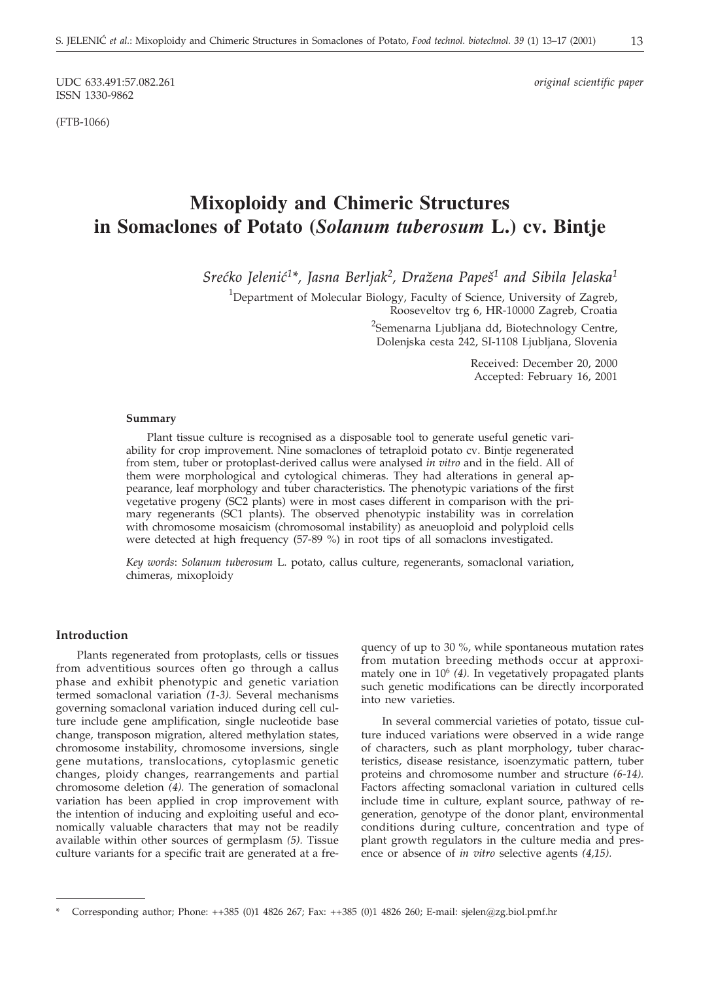ISSN 1330-9862

(FTB-1066)

UDC 633.491:57.082.261 *original scientific paper*

# **Mixoploidy and Chimeric Structures in Somaclones of Potato (***Solanum tuberosum* **L.) cv. Bintje**

*Sre}ko Jeleni}1\*, Jasna Berljak2, Dra`ena Pape{1 and Sibila Jelaska1*

<sup>1</sup>Department of Molecular Biology, Faculty of Science, University of Zagreb, Rooseveltov trg 6, HR-10000 Zagreb, Croatia

<sup>2</sup>Semenarna Ljubljana dd, Biotechnology Centre, Dolenjska cesta 242, SI-1108 Ljubljana, Slovenia

> Received: December 20, 2000 Accepted: February 16, 2001

#### **Summary**

Plant tissue culture is recognised as a disposable tool to generate useful genetic variability for crop improvement. Nine somaclones of tetraploid potato cv. Bintje regenerated from stem, tuber or protoplast-derived callus were analysed *in vitro* and in the field. All of them were morphological and cytological chimeras. They had alterations in general appearance, leaf morphology and tuber characteristics. The phenotypic variations of the first vegetative progeny (SC2 plants) were in most cases different in comparison with the primary regenerants (SC1 plants). The observed phenotypic instability was in correlation with chromosome mosaicism (chromosomal instability) as aneuoploid and polyploid cells were detected at high frequency (57-89 %) in root tips of all somaclons investigated.

*Key words*: *Solanum tuberosum* L. potato, callus culture, regenerants, somaclonal variation, chimeras, mixoploidy

# **Introduction**

Plants regenerated from protoplasts, cells or tissues from adventitious sources often go through a callus phase and exhibit phenotypic and genetic variation termed somaclonal variation *(1-3).* Several mechanisms governing somaclonal variation induced during cell culture include gene amplification, single nucleotide base change, transposon migration, altered methylation states, chromosome instability, chromosome inversions, single gene mutations, translocations, cytoplasmic genetic changes, ploidy changes, rearrangements and partial chromosome deletion *(4).* The generation of somaclonal variation has been applied in crop improvement with the intention of inducing and exploiting useful and economically valuable characters that may not be readily available within other sources of germplasm *(5).* Tissue culture variants for a specific trait are generated at a frequency of up to 30 %, while spontaneous mutation rates from mutation breeding methods occur at approximately one in 106 *(4).* In vegetatively propagated plants such genetic modifications can be directly incorporated into new varieties.

In several commercial varieties of potato, tissue culture induced variations were observed in a wide range of characters, such as plant morphology, tuber characteristics, disease resistance, isoenzymatic pattern, tuber proteins and chromosome number and structure *(6-14).* Factors affecting somaclonal variation in cultured cells include time in culture, explant source, pathway of regeneration, genotype of the donor plant, environmental conditions during culture, concentration and type of plant growth regulators in the culture media and presence or absence of *in vitro* selective agents *(4,15).*

<sup>\*</sup> Corresponding author; Phone: ++385 (0)1 4826 267; Fax: ++385 (0)1 4826 260; E-mail: sjelen*@*zg.biol.pmf.hr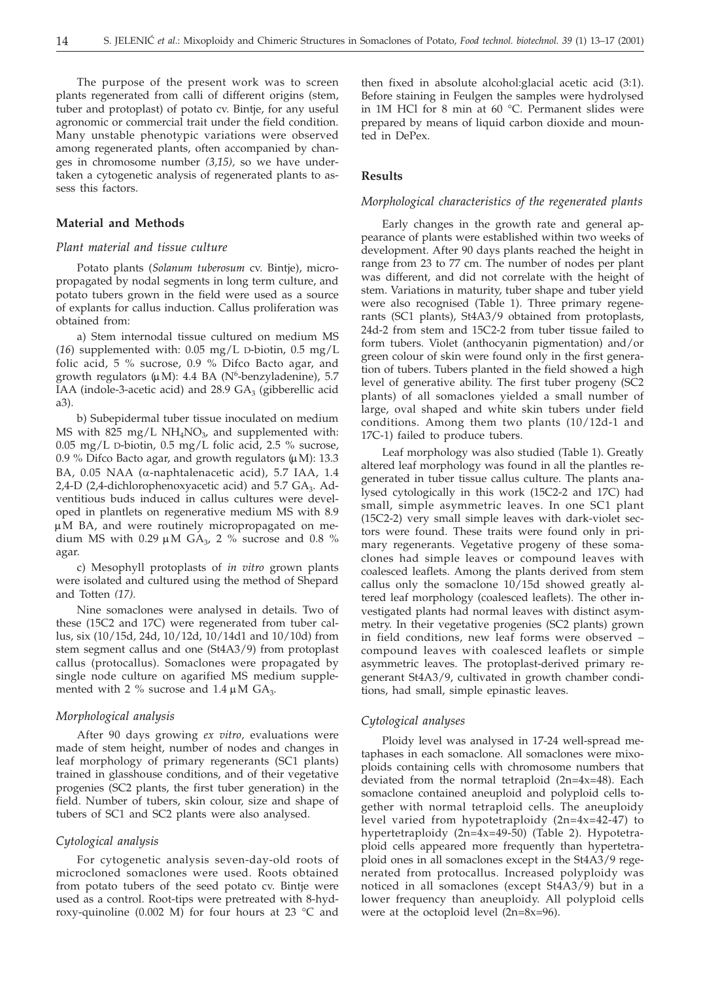The purpose of the present work was to screen plants regenerated from calli of different origins (stem, tuber and protoplast) of potato cv. Bintje, for any useful agronomic or commercial trait under the field condition. Many unstable phenotypic variations were observed among regenerated plants, often accompanied by changes in chromosome number *(3,15),* so we have undertaken a cytogenetic analysis of regenerated plants to assess this factors.

#### **Material and Methods**

#### *Plant material and tissue culture*

Potato plants (*Solanum tuberosum* cv. Bintje), micropropagated by nodal segments in long term culture, and potato tubers grown in the field were used as a source of explants for callus induction. Callus proliferation was obtained from:

a) Stem internodal tissue cultured on medium MS (*16*) supplemented with: 0.05 mg/L D-biotin, 0.5 mg/L folic acid, 5 % sucrose, 0.9 % Difco Bacto agar, and growth regulators  $(\mu M)$ : 4.4 BA (N<sup>6</sup>-benzyladenine), 5.7 IAA (indole-3-acetic acid) and  $28.9$  GA<sub>3</sub> (gibberellic acid a3).

b) Subepidermal tuber tissue inoculated on medium MS with 825 mg/L  $NH<sub>4</sub>NO<sub>3</sub>$ , and supplemented with: 0.05 mg/L D-biotin, 0.5 mg/L folic acid, 2.5 % sucrose, 0.9 % Difco Bacto agar, and growth regulators  $(\mu M)$ : 13.3 BA, 0.05 NAA ( $\alpha$ -naphtalenacetic acid), 5.7 IAA, 1.4 2,4-D (2,4-dichlorophenoxyacetic acid) and 5.7 GA<sub>3</sub>. Adventitious buds induced in callus cultures were developed in plantlets on regenerative medium MS with 8.9  $\mu$ M BA, and were routinely micropropagated on medium MS with 0.29  $\mu$ M GA<sub>3</sub>, 2 % sucrose and 0.8 % agar.

c) Mesophyll protoplasts of *in vitro* grown plants were isolated and cultured using the method of Shepard and Totten *(17).*

Nine somaclones were analysed in details. Two of these (15C2 and 17C) were regenerated from tuber callus, six (10/15d, 24d, 10/12d, 10/14d1 and 10/10d) from stem segment callus and one (St4A3/9) from protoplast callus (protocallus). Somaclones were propagated by single node culture on agarified MS medium supplemented with 2 % sucrose and 1.4  $\mu$ M GA<sub>3</sub>.

# *Morphological analysis*

After 90 days growing *ex vitro,* evaluations were made of stem height, number of nodes and changes in leaf morphology of primary regenerants (SC1 plants) trained in glasshouse conditions, and of their vegetative progenies (SC2 plants, the first tuber generation) in the field. Number of tubers, skin colour, size and shape of tubers of SC1 and SC2 plants were also analysed.

#### *Cytological analysis*

For cytogenetic analysis seven-day-old roots of microcloned somaclones were used. Roots obtained from potato tubers of the seed potato cv. Bintje were used as a control. Root-tips were pretreated with 8-hydroxy-quinoline (0.002 M) for four hours at 23 °C and

then fixed in absolute alcohol:glacial acetic acid (3:1). Before staining in Feulgen the samples were hydrolysed in 1M HCl for 8 min at 60 °C. Permanent slides were prepared by means of liquid carbon dioxide and mounted in DePex.

#### **Results**

#### *Morphological characteristics of the regenerated plants*

Early changes in the growth rate and general appearance of plants were established within two weeks of development. After 90 days plants reached the height in range from 23 to 77 cm. The number of nodes per plant was different, and did not correlate with the height of stem. Variations in maturity, tuber shape and tuber yield were also recognised (Table 1). Three primary regenerants (SC1 plants), St4A3/9 obtained from protoplasts, 24d-2 from stem and 15C2-2 from tuber tissue failed to form tubers. Violet (anthocyanin pigmentation) and/or green colour of skin were found only in the first generation of tubers. Tubers planted in the field showed a high level of generative ability. The first tuber progeny (SC2 plants) of all somaclones yielded a small number of large, oval shaped and white skin tubers under field conditions. Among them two plants (10/12d-1 and 17C-1) failed to produce tubers.

Leaf morphology was also studied (Table 1). Greatly altered leaf morphology was found in all the plantles regenerated in tuber tissue callus culture. The plants analysed cytologically in this work (15C2-2 and 17C) had small, simple asymmetric leaves. In one SC1 plant (15C2-2) very small simple leaves with dark-violet sectors were found. These traits were found only in primary regenerants. Vegetative progeny of these somaclones had simple leaves or compound leaves with coalesced leaflets. Among the plants derived from stem callus only the somaclone 10/15d showed greatly altered leaf morphology (coalesced leaflets). The other investigated plants had normal leaves with distinct asymmetry. In their vegetative progenies (SC2 plants) grown in field conditions, new leaf forms were observed – compound leaves with coalesced leaflets or simple asymmetric leaves. The protoplast-derived primary regenerant St4A3/9, cultivated in growth chamber conditions, had small, simple epinastic leaves.

#### *Cytological analyses*

Ploidy level was analysed in 17-24 well-spread metaphases in each somaclone. All somaclones were mixoploids containing cells with chromosome numbers that deviated from the normal tetraploid (2n=4x=48). Each somaclone contained aneuploid and polyploid cells together with normal tetraploid cells. The aneuploidy level varied from hypotetraploidy (2n=4x=42-47) to hypertetraploidy (2n=4x=49-50) (Table 2). Hypotetraploid cells appeared more frequently than hypertetraploid ones in all somaclones except in the St4A3/9 regenerated from protocallus. Increased polyploidy was noticed in all somaclones (except St4A3/9) but in a lower frequency than aneuploidy. All polyploid cells were at the octoploid level (2n=8x=96).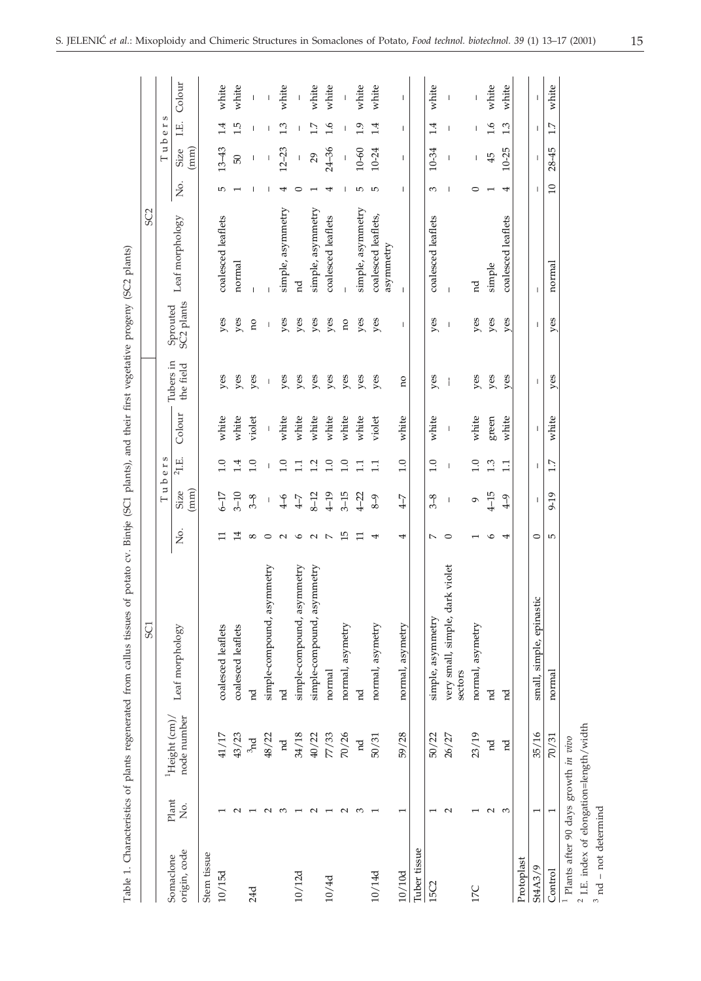|                                            |                          |                             | SC <sub>1</sub>                            |                    |                                       |                          |             |                        |                          | SC <sub>2</sub>     |                          |                                                                                                                                                                                                                                                                                                                                                                                                                |              |                          |
|--------------------------------------------|--------------------------|-----------------------------|--------------------------------------------|--------------------|---------------------------------------|--------------------------|-------------|------------------------|--------------------------|---------------------|--------------------------|----------------------------------------------------------------------------------------------------------------------------------------------------------------------------------------------------------------------------------------------------------------------------------------------------------------------------------------------------------------------------------------------------------------|--------------|--------------------------|
|                                            |                          |                             |                                            |                    | $\overline{\phantom{0}}$              | S<br>u b e r             |             |                        |                          |                     |                          | Tuber                                                                                                                                                                                                                                                                                                                                                                                                          | S            |                          |
| origin, code<br>Somaclone                  | Plant<br>Σó.             | node number<br>Height (cm), | Leaf morphology                            | ,<br>2             | (mm)<br>Size                          | $^{2}$ I.E.              | Colour      | Tubers in<br>the field | SC2 plants<br>Sprouted   | Leaf morphology     | ş.                       | (mm)<br><b>Size</b>                                                                                                                                                                                                                                                                                                                                                                                            | ΠE.          | Colour                   |
| Stem tissue                                |                          |                             |                                            |                    |                                       |                          |             |                        |                          |                     |                          |                                                                                                                                                                                                                                                                                                                                                                                                                |              |                          |
| 10/15d                                     |                          | 41/17                       | coalesced leaflets                         | ᄇ                  | $6-17$                                | $\frac{0}{1}$            | white       | yes                    | yes                      | coalesced leaflets  | ю                        | $13 - 43$                                                                                                                                                                                                                                                                                                                                                                                                      | 1.4          | white                    |
|                                            | $\sim$                   | 43/23                       | coalesced leaflets                         | 14                 | $3 - 10$                              | $\frac{4}{1}$            | white       | yes                    | yes                      | normal              |                          | 50                                                                                                                                                                                                                                                                                                                                                                                                             | 1.5          | white                    |
| 24d                                        |                          | 3nd                         | 'nd                                        | $^{\circ}$         | $3-8$                                 | 1.0                      | violet      | yes                    | no                       |                     |                          | $\mathsf I$                                                                                                                                                                                                                                                                                                                                                                                                    | J.           | $\bar{\rm I}$            |
|                                            | $\sim$                   | 48/22                       | simple-compound, asymmetry                 | $\circ$            | $\begin{array}{c} \end{array}$        | I                        |             | I                      | $\overline{\phantom{a}}$ |                     |                          | $\begin{array}{c} \end{array}$                                                                                                                                                                                                                                                                                                                                                                                 | I            | $\overline{\phantom{a}}$ |
|                                            | ∞                        | $_{\rm nd}$                 | 'n                                         | $\sim$             | $\sqrt{4-6}$                          | $\overline{1.0}$         | white       | yes                    | yes                      | simple, asymmetry   |                          | $12 - 23$                                                                                                                                                                                                                                                                                                                                                                                                      | 1.3          | white                    |
| 10/12d                                     |                          | 34/18                       | simple-compound, asymmetry                 | $\circ$            | $4 - 7$                               | $\Xi$                    | white       | yes                    | yes                      | g                   | ○                        | L                                                                                                                                                                                                                                                                                                                                                                                                              | L            |                          |
|                                            | $\sim$                   | 40/22                       | simple-compound, asymmetry                 | $\sim$             | $8-12$                                | 1.2                      | white       | yes                    | yes                      | simple, asymmetry   |                          | 29                                                                                                                                                                                                                                                                                                                                                                                                             | 1.7          | white                    |
| 10/4d                                      |                          | 77/33                       | normal                                     | $\overline{ }$     | $4-19$                                | 1.0                      | white       | yes                    | yes                      | coalesced leaflets  |                          | $24 - 36$                                                                                                                                                                                                                                                                                                                                                                                                      | 1.6          | white                    |
|                                            | $\sim$                   | 70/26                       | normal, asymetr                            | ம                  | $3-15$                                | $\overline{1.0}$         | white       | yes                    | no                       |                     |                          | $\begin{array}{c} \rule{0pt}{2ex} \rule{0pt}{2ex} \rule{0pt}{2ex} \rule{0pt}{2ex} \rule{0pt}{2ex} \rule{0pt}{2ex} \rule{0pt}{2ex} \rule{0pt}{2ex} \rule{0pt}{2ex} \rule{0pt}{2ex} \rule{0pt}{2ex} \rule{0pt}{2ex} \rule{0pt}{2ex} \rule{0pt}{2ex} \rule{0pt}{2ex} \rule{0pt}{2ex} \rule{0pt}{2ex} \rule{0pt}{2ex} \rule{0pt}{2ex} \rule{0pt}{2ex} \rule{0pt}{2ex} \rule{0pt}{2ex} \rule{0pt}{2ex} \rule{0pt}{$ |              |                          |
|                                            | $\infty$                 | $_{\rm nd}$                 | nd                                         | ᄇ                  | $4-22$                                | $\Xi$                    | white       | yes                    | yes                      | simple, asymmetry   | 5                        | $10 - 60$                                                                                                                                                                                                                                                                                                                                                                                                      | 1.9          | white                    |
| 10/14d                                     |                          | 50/31                       | normal, asymetr                            | 4                  | $8-9$                                 | $\Box$                   | violet      | yes                    | yes                      | coalesced leaflets, | 5                        | 10-24                                                                                                                                                                                                                                                                                                                                                                                                          | 1.4          | white                    |
|                                            |                          |                             |                                            |                    |                                       |                          |             |                        |                          | asymmetry           |                          |                                                                                                                                                                                                                                                                                                                                                                                                                |              |                          |
| 10/10d                                     | $\overline{\phantom{0}}$ | 59/28                       | normal, asymetry                           | 4                  | $4 - 7$                               | 1.0                      | white       | Ωû                     | т                        | $\mathbf{I}$        | L                        | L                                                                                                                                                                                                                                                                                                                                                                                                              | L            | L                        |
| Tuber tissue                               |                          |                             |                                            |                    |                                       |                          |             |                        |                          |                     |                          |                                                                                                                                                                                                                                                                                                                                                                                                                |              |                          |
| 15C2                                       |                          | 50/22                       | simple, asymmetry                          | $\overline{ }$     | $3-8$                                 | 1.0                      | white       | yes                    | yes                      | coalesced leaflets  | S                        | 10-34                                                                                                                                                                                                                                                                                                                                                                                                          | 1.4          | white                    |
|                                            | $\sim$                   | 26/27                       | very small, simple, dark violet<br>sectors | $\circ$            | $\begin{array}{c} \hline \end{array}$ | $\overline{\phantom{a}}$ | $\mathsf I$ | J                      | $\mathbf{I}$             | $\overline{1}$      | $\overline{\phantom{a}}$ | $\mathbf{I}$                                                                                                                                                                                                                                                                                                                                                                                                   | $\mathbf{I}$ | $\mathbf{I}$             |
| 17C                                        |                          | 23/19                       | normal, asymetry                           |                    | $\circ$                               | $\overline{1.0}$         | white       | yes                    | yes                      | 'n                  | 0                        | I                                                                                                                                                                                                                                                                                                                                                                                                              | I            |                          |
|                                            | $\sim$                   | pd                          | 'nd                                        | ৩                  | $4 - 15$                              | 1.3                      | green       | yes                    | yes                      | simple              |                          | 45                                                                                                                                                                                                                                                                                                                                                                                                             | 1.6          | white                    |
|                                            | S                        | pd                          | 'nd                                        | 4                  | $\sqrt{4}$                            | 1.1                      | white       | yes                    | yes                      | coalesced leaflets  | 4                        | 10-25                                                                                                                                                                                                                                                                                                                                                                                                          | 1.3          | white                    |
| Protoplast                                 |                          |                             |                                            |                    |                                       |                          |             |                        |                          |                     |                          |                                                                                                                                                                                                                                                                                                                                                                                                                |              |                          |
| <b>St4A3/9</b>                             |                          | 35/16                       | pinastic<br>small, simple, ep              | $\circ$            | т                                     | T                        | т           | T                      | T                        | т                   | -1                       | T                                                                                                                                                                                                                                                                                                                                                                                                              | т            | T                        |
| Control                                    | $\overline{ }$           | 70/31                       | normal                                     | $\mathsf{L}\Omega$ | 9-19                                  | 1.7                      | white       | yes                    | yes                      | normal              | $\overline{10}$          | $28 - 45$                                                                                                                                                                                                                                                                                                                                                                                                      | 1.7          | white                    |
| $^1$ Plants after 90 days growth in vivo   |                          |                             |                                            |                    |                                       |                          |             |                        |                          |                     |                          |                                                                                                                                                                                                                                                                                                                                                                                                                |              |                          |
| $^2$ I.E. index of elongation=length/width |                          |                             |                                            |                    |                                       |                          |             |                        |                          |                     |                          |                                                                                                                                                                                                                                                                                                                                                                                                                |              |                          |
| $\overline{3}$                             |                          |                             |                                            |                    |                                       |                          |             |                        |                          |                     |                          |                                                                                                                                                                                                                                                                                                                                                                                                                |              |                          |

nd – not determind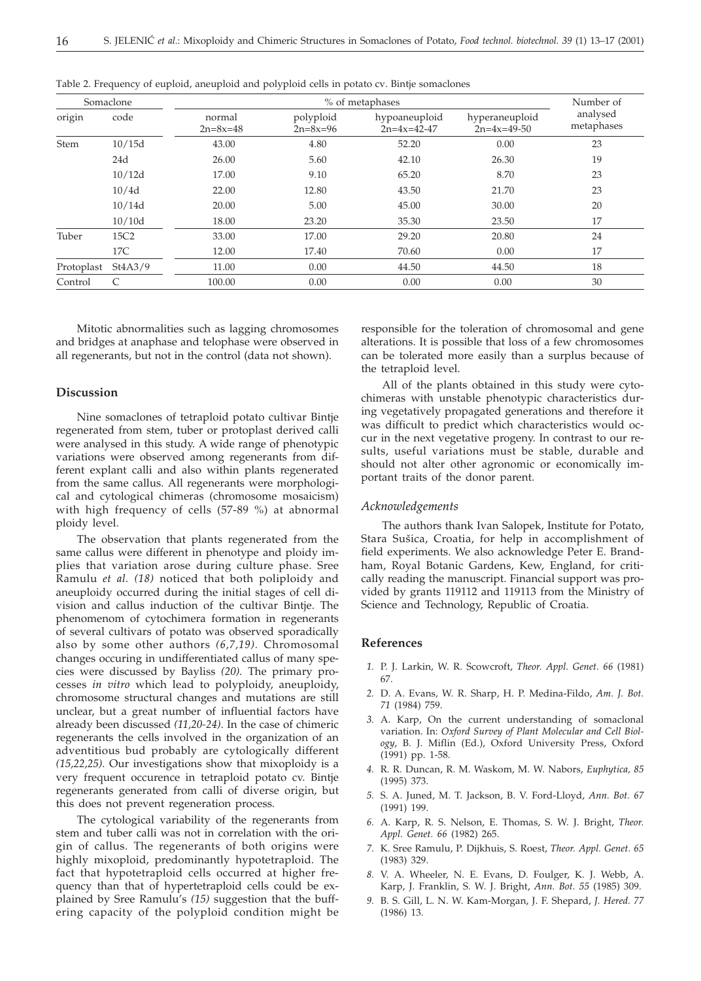| Somaclone   |                  |                          | % of metaphases             |                                |                                 |                        |
|-------------|------------------|--------------------------|-----------------------------|--------------------------------|---------------------------------|------------------------|
| origin      | code             | normal<br>$2n = 8x = 48$ | polyploid<br>$2n = 8x = 96$ | hypoaneuploid<br>$2n=4x=42-47$ | hyperaneuploid<br>$2n=4x=49-50$ | analysed<br>metaphases |
| <b>Stem</b> | 10/15d           | 43.00                    | 4.80                        | 52.20                          | 0.00                            | 23                     |
|             | 24d              | 26.00                    | 5.60                        | 42.10                          | 26.30                           | 19                     |
|             | 10/12d           | 17.00                    | 9.10                        | 65.20                          | 8.70                            | 23                     |
|             | 10/4d            | 22.00                    | 12.80                       | 43.50                          | 21.70                           | 23                     |
|             | 10/14d           | 20.00                    | 5.00                        | 45.00                          | 30.00                           | 20                     |
|             | 10/10d           | 18.00                    | 23.20                       | 35.30                          | 23.50                           | 17                     |
| Tuber       | 15C <sub>2</sub> | 33.00                    | 17.00                       | 29.20                          | 20.80                           | 24                     |
|             | 17C              | 12.00                    | 17.40                       | 70.60                          | 0.00                            | 17                     |
| Protoplast  | St4A3/9          | 11.00                    | 0.00                        | 44.50                          | 44.50                           | 18                     |
| Control     | $\mathcal{C}$    | 100.00                   | 0.00                        | 0.00                           | 0.00                            | 30                     |

Table 2. Frequency of euploid, aneuploid and polyploid cells in potato cv. Bintje somaclones

Mitotic abnormalities such as lagging chromosomes and bridges at anaphase and telophase were observed in all regenerants, but not in the control (data not shown).

## **Discussion**

Nine somaclones of tetraploid potato cultivar Bintje regenerated from stem, tuber or protoplast derived calli were analysed in this study. A wide range of phenotypic variations were observed among regenerants from different explant calli and also within plants regenerated from the same callus. All regenerants were morphological and cytological chimeras (chromosome mosaicism) with high frequency of cells (57-89 %) at abnormal ploidy level.

The observation that plants regenerated from the same callus were different in phenotype and ploidy implies that variation arose during culture phase. Sree Ramulu *et al. (18)* noticed that both poliploidy and aneuploidy occurred during the initial stages of cell division and callus induction of the cultivar Bintje. The phenomenom of cytochimera formation in regenerants of several cultivars of potato was observed sporadically also by some other authors *(6,7,19).* Chromosomal changes occuring in undifferentiated callus of many species were discussed by Bayliss *(20).* The primary processes *in vitro* which lead to polyploidy, aneuploidy, chromosome structural changes and mutations are still unclear, but a great number of influential factors have already been discussed *(11,20-24)*. In the case of chimeric regenerants the cells involved in the organization of an adventitious bud probably are cytologically different *(15,22,25).* Our investigations show that mixoploidy is a very frequent occurence in tetraploid potato cv. Bintje regenerants generated from calli of diverse origin, but this does not prevent regeneration process.

The cytological variability of the regenerants from stem and tuber calli was not in correlation with the origin of callus. The regenerants of both origins were highly mixoploid, predominantly hypotetraploid. The fact that hypotetraploid cells occurred at higher frequency than that of hypertetraploid cells could be explained by Sree Ramulu's *(15)* suggestion that the buffering capacity of the polyploid condition might be responsible for the toleration of chromosomal and gene alterations. It is possible that loss of a few chromosomes can be tolerated more easily than a surplus because of the tetraploid level.

All of the plants obtained in this study were cytochimeras with unstable phenotypic characteristics during vegetatively propagated generations and therefore it was difficult to predict which characteristics would occur in the next vegetative progeny. In contrast to our results, useful variations must be stable, durable and should not alter other agronomic or economically important traits of the donor parent.

# *Acknowledgements*

The authors thank Ivan Salopek, Institute for Potato, Stara Sušica, Croatia, for help in accomplishment of field experiments. We also acknowledge Peter E. Brandham, Royal Botanic Gardens, Kew, England, for critically reading the manuscript. Financial support was provided by grants 119112 and 119113 from the Ministry of Science and Technology, Republic of Croatia.

#### **References**

- *1.* P. J. Larkin, W. R. Scowcroft, *Theor. Appl. Genet. 66* (1981) 67.
- *2.* D. A. Evans, W. R. Sharp, H. P. Medina-Fildo, *Am. J. Bot. 71* (1984) 759.
- *3.* A. Karp, On the current understanding of somaclonal variation. In: *Oxford Survey of Plant Molecular and Cell Biology*, B. J. Miflin (Ed.), Oxford University Press, Oxford (1991) pp. 1-58.
- *4.* R. R. Duncan, R. M. Waskom, M. W. Nabors, *Euphytica, 85* (1995) 373.
- *5.* S. A. Juned, M. T. Jackson, B. V. Ford-Lloyd, *Ann. Bot. 67* (1991) 199.
- *6.* A. Karp, R. S. Nelson, E. Thomas, S. W. J. Bright, *Theor. Appl. Genet. 66* (1982) 265.
- *7.* K. Sree Ramulu, P. Dijkhuis, S. Roest, *Theor. Appl. Genet. 65* (1983) 329.
- *8.* V. A. Wheeler, N. E. Evans, D. Foulger, K. J. Webb, A. Karp, J. Franklin, S. W. J. Bright, *Ann. Bot. 55* (1985) 309.
- *9.* B. S. Gill, L. N. W. Kam-Morgan, J. F. Shepard, *J. Hered. 77* (1986) 13.